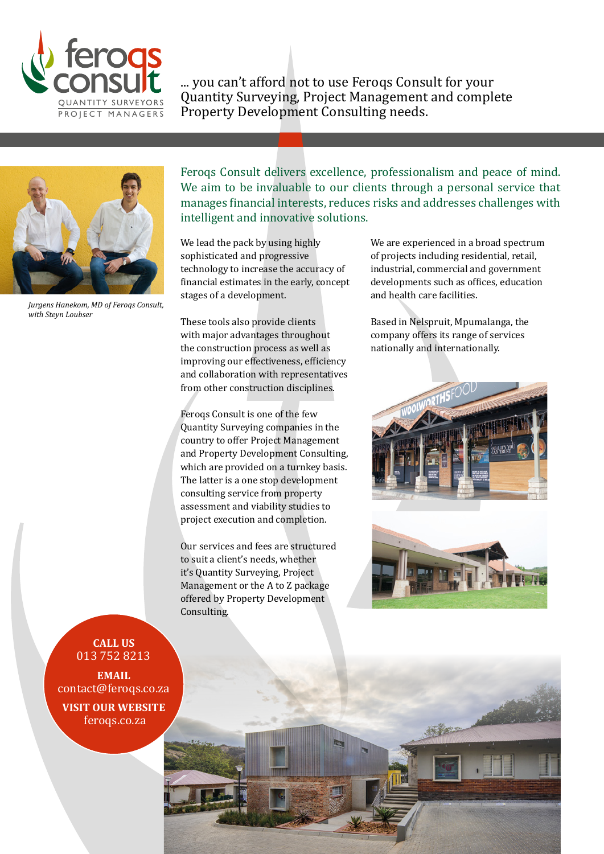

... you can't afford not to use Feroqs Consult for your Quantity Surveying, Project Management and complete Property Development Consulting needs.



*Jurgens Hanekom, MD of Feroqs Consult, with Steyn Loubser*

Feroqs Consult delivers excellence, professionalism and peace of mind. We aim to be invaluable to our clients through a personal service that manages financial interests, reduces risks and addresses challenges with intelligent and innovative solutions.

We lead the pack by using highly sophisticated and progressive technology to increase the accuracy of financial estimates in the early, concept stages of a development.

These tools also provide clients with major advantages throughout the construction process as well as improving our effectiveness, efficiency and collaboration with representatives from other construction disciplines.

Feroqs Consult is one of the few Quantity Surveying companies in the country to offer Project Management and Property Development Consulting, which are provided on a turnkey basis. The latter is a one stop development consulting service from property assessment and viability studies to project execution and completion.

Our services and fees are structured to suit a client's needs, whether it's Quantity Surveying, Project Management or the A to Z package offered by Property Development Consulting.

We are experienced in a broad spectrum of projects including residential, retail, industrial, commercial and government developments such as offices, education and health care facilities.

Based in Nelspruit, Mpumalanga, the company offers its range of services nationally and internationally.





**CALL US**  013 752 8213

**EMAIL** contact@feroqs.co.za

**VISIT OUR WEBSITE** feroqs.co.za